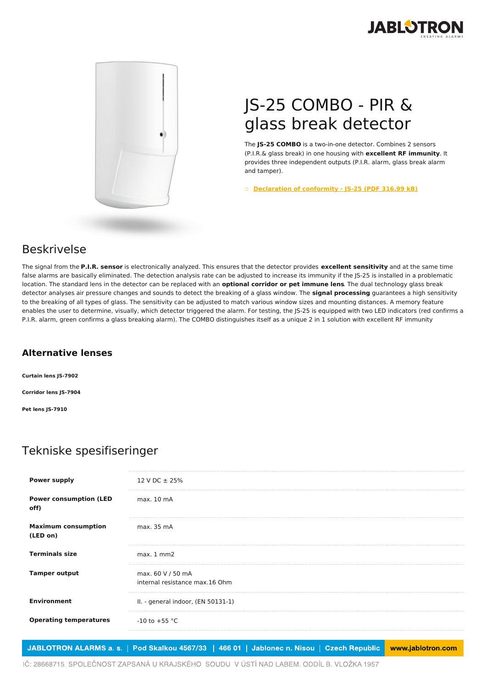



## JS-25 COMBO - PIR & glass break detector

The **JS-25 COMBO** is a two-in-one detector. Combines 2 sensors (P.I.R.& glass break) in one housing with **excellent RF immunity**. It provides three independent outputs (P.I.R. alarm, glass break alarm and tamper).

○ **[Declaration](https://www.jablotron.com/no/template/product/44/?file=0&jt_id=523&hash=e5KerE&do=downloadCertificate) of conformity - JS-25 (PDF 316.99 kB)**

## Beskrivelse

The signal from the **P.I.R. sensor** is electronically analyzed. This ensures that the detector provides **excellent sensitivity** and at the same time false alarms are basically eliminated. The detection analysis rate can be adjusted to increase its immunity if the JS-25 is installed in a problematic location. The standard lens in the detector can be replaced with an **optional corridor or pet immune lens**. The dual technology glass break detector analyses air pressure changes and sounds to detect the breaking of a glass window. The **signal processing** guarantees a high sensitivity to the breaking of all types of glass. The sensitivity can be adjusted to match various window sizes and mounting distances. A memory feature enables the user to determine, visually, which detector triggered the alarm. For testing, the JS-25 is equipped with two LED indicators (red confirms a P.I.R. alarm, green confirms a glass breaking alarm). The COMBO distinguishes itself as a unique 2 in 1 solution with excellent RF immunity

## **Alternative lenses**

**Curtain lens JS-7902 Corridor lens JS-7904 Pet lens JS-7910**

## Tekniske spesifiseringer

| 12 V DC ± 25%                                       |
|-----------------------------------------------------|
|                                                     |
| max. 10 mA                                          |
| max. 35 mA                                          |
| $max.1$ mm $2$                                      |
| max. 60 V / 50 mA<br>internal resistance max.16 Ohm |
| II. - general indoor, (EN 50131-1)                  |
| $-10$ to $+55$ °C                                   |
|                                                     |

JABLOTRON ALARMS a. s. | Pod Skalkou 4567/33 | 466 01 | Jablonec n. Nisou | Czech Republic www.jablotron.com

IČ: 28668715. SPOLEČNOST ZAPSANÁ U KRAJSKÉHO SOUDU V ÚSTÍ NAD LABEM. ODDÍL B. VLOŽKA 1957